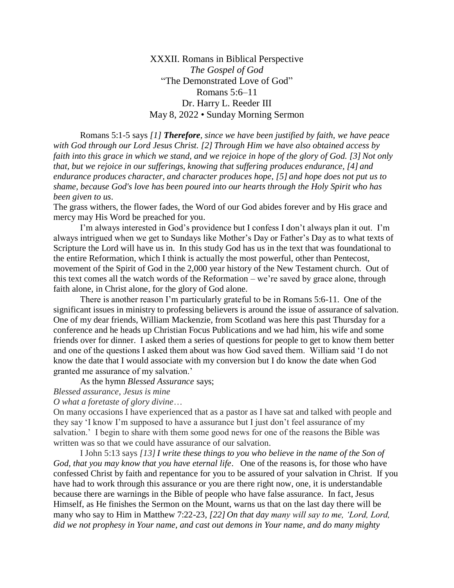XXXII. Romans in Biblical Perspective *The Gospel of God* "The Demonstrated Love of God" Romans 5:6–11 Dr. Harry L. Reeder III May 8, 2022 • Sunday Morning Sermon

Romans 5:1-5 says *[1] Therefore, since we have been justified by faith, we have peace with God through our Lord Jesus Christ. [2] Through Him we have also obtained access by faith into this grace in which we stand, and we rejoice in hope of the glory of God. [3] Not only that, but we rejoice in our sufferings, knowing that suffering produces endurance, [4] and endurance produces character, and character produces hope, [5] and hope does not put us to shame, because God's love has been poured into our hearts through the Holy Spirit who has been given to us*.

The grass withers, the flower fades, the Word of our God abides forever and by His grace and mercy may His Word be preached for you.

I'm always interested in God's providence but I confess I don't always plan it out. I'm always intrigued when we get to Sundays like Mother's Day or Father's Day as to what texts of Scripture the Lord will have us in. In this study God has us in the text that was foundational to the entire Reformation, which I think is actually the most powerful, other than Pentecost, movement of the Spirit of God in the 2,000 year history of the New Testament church. Out of this text comes all the watch words of the Reformation – we're saved by grace alone, through faith alone, in Christ alone, for the glory of God alone.

There is another reason I'm particularly grateful to be in Romans 5:6-11. One of the significant issues in ministry to professing believers is around the issue of assurance of salvation. One of my dear friends, William Mackenzie, from Scotland was here this past Thursday for a conference and he heads up Christian Focus Publications and we had him, his wife and some friends over for dinner. I asked them a series of questions for people to get to know them better and one of the questions I asked them about was how God saved them. William said 'I do not know the date that I would associate with my conversion but I do know the date when God granted me assurance of my salvation.'

As the hymn *Blessed Assurance* says;

*Blessed assurance, Jesus is mine*

*O what a foretaste of glory divine*…

On many occasions I have experienced that as a pastor as I have sat and talked with people and they say 'I know I'm supposed to have a assurance but I just don't feel assurance of my salvation.' I begin to share with them some good news for one of the reasons the Bible was written was so that we could have assurance of our salvation.

I John 5:13 says *[13]I write these things to you who believe in the name of the Son of God, that you may know that you have eternal life*. One of the reasons is, for those who have confessed Christ by faith and repentance for you to be assured of your salvation in Christ. If you have had to work through this assurance or you are there right now, one, it is understandable because there are warnings in the Bible of people who have false assurance. In fact, Jesus Himself, as He finishes the Sermon on the Mount, warns us that on the last day there will be many who say to Him in Matthew 7:22-23, *[22] On that day many will say to me, 'Lord, Lord, did we not prophesy in Your name, and cast out demons in Your name, and do many mighty*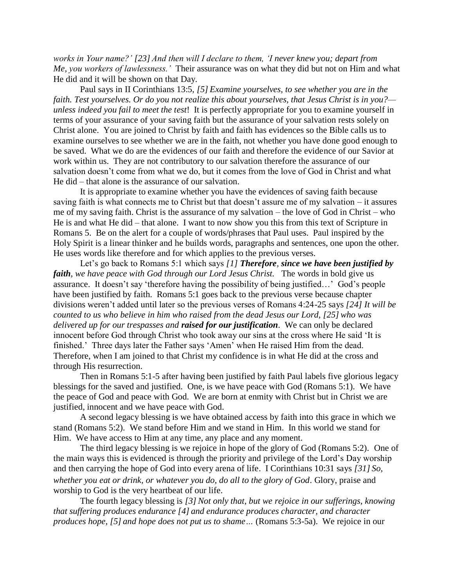*works in Your name?' [23] And then will I declare to them, 'I never knew you; depart from Me, you workers of lawlessness.'* Their assurance was on what they did but not on Him and what He did and it will be shown on that Day.

Paul says in II Corinthians 13:5, *[5] Examine yourselves, to see whether you are in the faith. Test yourselves. Or do you not realize this about yourselves, that Jesus Christ is in you? unless indeed you fail to meet the test*! It is perfectly appropriate for you to examine yourself in terms of your assurance of your saving faith but the assurance of your salvation rests solely on Christ alone. You are joined to Christ by faith and faith has evidences so the Bible calls us to examine ourselves to see whether we are in the faith, not whether you have done good enough to be saved. What we do are the evidences of our faith and therefore the evidence of our Savior at work within us. They are not contributory to our salvation therefore the assurance of our salvation doesn't come from what we do, but it comes from the love of God in Christ and what He did – that alone is the assurance of our salvation.

It is appropriate to examine whether you have the evidences of saving faith because saving faith is what connects me to Christ but that doesn't assure me of my salvation – it assures me of my saving faith. Christ is the assurance of my salvation – the love of God in Christ – who He is and what He did – that alone. I want to now show you this from this text of Scripture in Romans 5. Be on the alert for a couple of words/phrases that Paul uses. Paul inspired by the Holy Spirit is a linear thinker and he builds words, paragraphs and sentences, one upon the other. He uses words like therefore and for which applies to the previous verses.

Let's go back to Romans 5:1 which says *[1] Therefore, since we have been justified by faith, we have peace with God through our Lord Jesus Christ.* The words in bold give us assurance. It doesn't say 'therefore having the possibility of being justified…' God's people have been justified by faith. Romans 5:1 goes back to the previous verse because chapter divisions weren't added until later so the previous verses of Romans 4:24-25 says *[24] It will be counted to us who believe in him who raised from the dead Jesus our Lord, [25] who was delivered up for our trespasses and raised for our justification*. We can only be declared innocent before God through Christ who took away our sins at the cross where He said 'It is finished.' Three days later the Father says 'Amen' when He raised Him from the dead. Therefore, when I am joined to that Christ my confidence is in what He did at the cross and through His resurrection.

Then in Romans 5:1-5 after having been justified by faith Paul labels five glorious legacy blessings for the saved and justified. One, is we have peace with God (Romans 5:1). We have the peace of God and peace with God. We are born at enmity with Christ but in Christ we are justified, innocent and we have peace with God.

A second legacy blessing is we have obtained access by faith into this grace in which we stand (Romans 5:2). We stand before Him and we stand in Him. In this world we stand for Him. We have access to Him at any time, any place and any moment.

The third legacy blessing is we rejoice in hope of the glory of God (Romans 5:2). One of the main ways this is evidenced is through the priority and privilege of the Lord's Day worship and then carrying the hope of God into every arena of life. I Corinthians 10:31 says *[31] So, whether you eat or drink, or whatever you do, do all to the glory of God*. Glory, praise and worship to God is the very heartbeat of our life.

The fourth legacy blessing is *[3] Not only that, but we rejoice in our sufferings, knowing that suffering produces endurance [4] and endurance produces character, and character produces hope, [5] and hope does not put us to shame…* (Romans 5:3-5a). We rejoice in our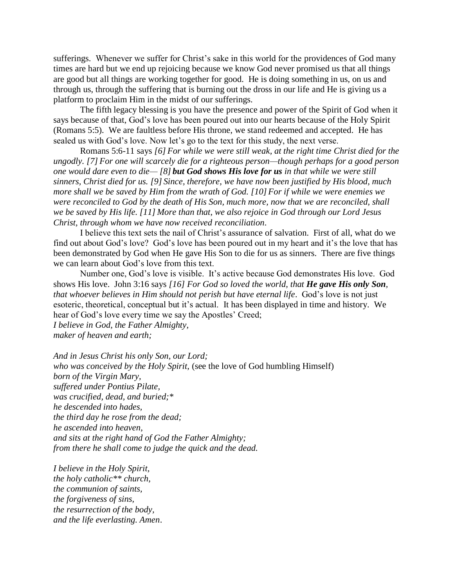sufferings. Whenever we suffer for Christ's sake in this world for the providences of God many times are hard but we end up rejoicing because we know God never promised us that all things are good but all things are working together for good. He is doing something in us, on us and through us, through the suffering that is burning out the dross in our life and He is giving us a platform to proclaim Him in the midst of our sufferings.

The fifth legacy blessing is you have the presence and power of the Spirit of God when it says because of that, God's love has been poured out into our hearts because of the Holy Spirit (Romans 5:5). We are faultless before His throne, we stand redeemed and accepted. He has sealed us with God's love. Now let's go to the text for this study, the next verse.

Romans 5:6-11 says *[6] For while we were still weak, at the right time Christ died for the ungodly. [7] For one will scarcely die for a righteous person—though perhaps for a good person one would dare even to die— [8] but God shows His love for us in that while we were still sinners, Christ died for us. [9] Since, therefore, we have now been justified by His blood, much more shall we be saved by Him from the wrath of God. [10] For if while we were enemies we were reconciled to God by the death of His Son, much more, now that we are reconciled, shall we be saved by His life. [11] More than that, we also rejoice in God through our Lord Jesus Christ, through whom we have now received reconciliation*.

I believe this text sets the nail of Christ's assurance of salvation. First of all, what do we find out about God's love? God's love has been poured out in my heart and it's the love that has been demonstrated by God when He gave His Son to die for us as sinners. There are five things we can learn about God's love from this text.

Number one, God's love is visible. It's active because God demonstrates His love. God shows His love. John 3:16 says *[16] For God so loved the world, that He gave His only Son, that whoever believes in Him should not perish but have eternal life*. God's love is not just esoteric, theoretical, conceptual but it's actual. It has been displayed in time and history. We hear of God's love every time we say the Apostles' Creed;

*I believe in God, the Father Almighty, maker of heaven and earth;*

*And in Jesus Christ his only Son, our Lord; who was conceived by the Holy Spirit,* (see the love of God humbling Himself) *born of the Virgin Mary, suffered under Pontius Pilate, was crucified, dead, and buried;\* he descended into hades, the third day he rose from the dead; he ascended into heaven, and sits at the right hand of God the Father Almighty; from there he shall come to judge the quick and the dead.*

*I believe in the Holy Spirit, the holy catholic\*\* church, the communion of saints, the forgiveness of sins, the resurrection of the body, and the life everlasting. Amen*.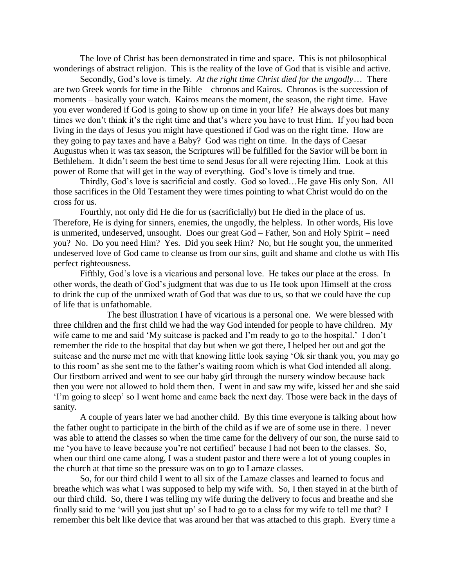The love of Christ has been demonstrated in time and space. This is not philosophical wonderings of abstract religion. This is the reality of the love of God that is visible and active.

Secondly, God's love is timely. *At the right time Christ died for the ungodly*… There are two Greek words for time in the Bible – chronos and Kairos. Chronos is the succession of moments – basically your watch. Kairos means the moment, the season, the right time. Have you ever wondered if God is going to show up on time in your life? He always does but many times we don't think it's the right time and that's where you have to trust Him. If you had been living in the days of Jesus you might have questioned if God was on the right time. How are they going to pay taxes and have a Baby? God was right on time. In the days of Caesar Augustus when it was tax season, the Scriptures will be fulfilled for the Savior will be born in Bethlehem. It didn't seem the best time to send Jesus for all were rejecting Him. Look at this power of Rome that will get in the way of everything. God's love is timely and true.

Thirdly, God's love is sacrificial and costly. God so loved…He gave His only Son. All those sacrifices in the Old Testament they were times pointing to what Christ would do on the cross for us.

Fourthly, not only did He die for us (sacrificially) but He died in the place of us. Therefore, He is dying for sinners, enemies, the ungodly, the helpless. In other words, His love is unmerited, undeserved, unsought. Does our great God – Father, Son and Holy Spirit – need you? No. Do you need Him? Yes. Did you seek Him? No, but He sought you, the unmerited undeserved love of God came to cleanse us from our sins, guilt and shame and clothe us with His perfect righteousness.

Fifthly, God's love is a vicarious and personal love. He takes our place at the cross. In other words, the death of God's judgment that was due to us He took upon Himself at the cross to drink the cup of the unmixed wrath of God that was due to us, so that we could have the cup of life that is unfathomable.

The best illustration I have of vicarious is a personal one. We were blessed with three children and the first child we had the way God intended for people to have children. My wife came to me and said 'My suitcase is packed and I'm ready to go to the hospital.' I don't remember the ride to the hospital that day but when we got there, I helped her out and got the suitcase and the nurse met me with that knowing little look saying 'Ok sir thank you, you may go to this room' as she sent me to the father's waiting room which is what God intended all along. Our firstborn arrived and went to see our baby girl through the nursery window because back then you were not allowed to hold them then. I went in and saw my wife, kissed her and she said 'I'm going to sleep' so I went home and came back the next day. Those were back in the days of sanity.

A couple of years later we had another child. By this time everyone is talking about how the father ought to participate in the birth of the child as if we are of some use in there. I never was able to attend the classes so when the time came for the delivery of our son, the nurse said to me 'you have to leave because you're not certified' because I had not been to the classes. So, when our third one came along, I was a student pastor and there were a lot of young couples in the church at that time so the pressure was on to go to Lamaze classes.

So, for our third child I went to all six of the Lamaze classes and learned to focus and breathe which was what I was supposed to help my wife with. So, I then stayed in at the birth of our third child. So, there I was telling my wife during the delivery to focus and breathe and she finally said to me 'will you just shut up' so I had to go to a class for my wife to tell me that? I remember this belt like device that was around her that was attached to this graph. Every time a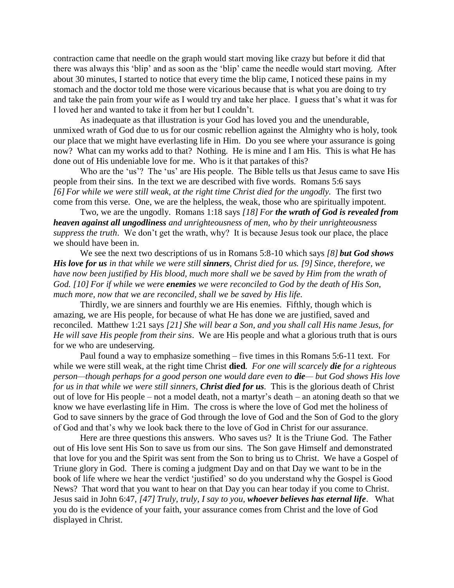contraction came that needle on the graph would start moving like crazy but before it did that there was always this 'blip' and as soon as the 'blip' came the needle would start moving. After about 30 minutes, I started to notice that every time the blip came, I noticed these pains in my stomach and the doctor told me those were vicarious because that is what you are doing to try and take the pain from your wife as I would try and take her place. I guess that's what it was for I loved her and wanted to take it from her but I couldn't.

As inadequate as that illustration is your God has loved you and the unendurable, unmixed wrath of God due to us for our cosmic rebellion against the Almighty who is holy, took our place that we might have everlasting life in Him. Do you see where your assurance is going now? What can my works add to that? Nothing. He is mine and I am His. This is what He has done out of His undeniable love for me. Who is it that partakes of this?

Who are the 'us'? The 'us' are His people. The Bible tells us that Jesus came to save His people from their sins. In the text we are described with five words. Romans 5:6 says *[6] For while we were still weak, at the right time Christ died for the ungodly.* The first two come from this verse. One, we are the helpless, the weak, those who are spiritually impotent.

Two, we are the ungodly. Romans 1:18 says *[18] For the wrath of God is revealed from heaven against all ungodliness and unrighteousness of men, who by their unrighteousness suppress the truth*. We don't get the wrath, why? It is because Jesus took our place, the place we should have been in.

We see the next two descriptions of us in Romans 5:8-10 which says *[8] but God shows His love for us in that while we were still sinners, Christ died for us. [9] Since, therefore, we have now been justified by His blood, much more shall we be saved by Him from the wrath of God. [10] For if while we were enemies we were reconciled to God by the death of His Son, much more, now that we are reconciled, shall we be saved by His life.*

Thirdly, we are sinners and fourthly we are His enemies. Fifthly, though which is amazing, we are His people, for because of what He has done we are justified, saved and reconciled. Matthew 1:21 says *[21] She will bear a Son, and you shall call His name Jesus, for He will save His people from their sins*. We are His people and what a glorious truth that is ours for we who are undeserving.

Paul found a way to emphasize something – five times in this Romans 5:6-11 text. For while we were still weak, at the right time Christ **died**. *For one will scarcely die for a righteous person—though perhaps for a good person one would dare even to die— but God shows His love for us in that while we were still sinners, Christ died for us.* This is the glorious death of Christ out of love for His people – not a model death, not a martyr's death – an atoning death so that we know we have everlasting life in Him. The cross is where the love of God met the holiness of God to save sinners by the grace of God through the love of God and the Son of God to the glory of God and that's why we look back there to the love of God in Christ for our assurance.

Here are three questions this answers. Who saves us? It is the Triune God. The Father out of His love sent His Son to save us from our sins. The Son gave Himself and demonstrated that love for you and the Spirit was sent from the Son to bring us to Christ. We have a Gospel of Triune glory in God. There is coming a judgment Day and on that Day we want to be in the book of life where we hear the verdict 'justified' so do you understand why the Gospel is Good News? That word that you want to hear on that Day you can hear today if you come to Christ. Jesus said in John 6:47, *[47] Truly, truly, I say to you, whoever believes has eternal life*. What you do is the evidence of your faith, your assurance comes from Christ and the love of God displayed in Christ.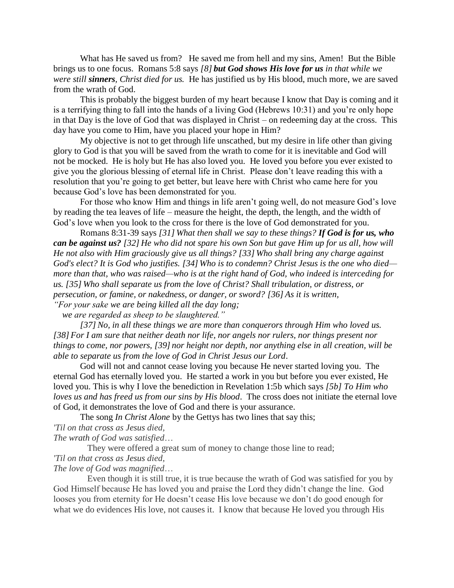What has He saved us from? He saved me from hell and my sins, Amen! But the Bible brings us to one focus. Romans 5:8 says *[8] but God shows His love for us in that while we were still sinners, Christ died for us.* He has justified us by His blood, much more, we are saved from the wrath of God.

This is probably the biggest burden of my heart because I know that Day is coming and it is a terrifying thing to fall into the hands of a living God (Hebrews 10:31) and you're only hope in that Day is the love of God that was displayed in Christ – on redeeming day at the cross. This day have you come to Him, have you placed your hope in Him?

My objective is not to get through life unscathed, but my desire in life other than giving glory to God is that you will be saved from the wrath to come for it is inevitable and God will not be mocked. He is holy but He has also loved you. He loved you before you ever existed to give you the glorious blessing of eternal life in Christ. Please don't leave reading this with a resolution that you're going to get better, but leave here with Christ who came here for you because God's love has been demonstrated for you.

For those who know Him and things in life aren't going well, do not measure God's love by reading the tea leaves of life – measure the height, the depth, the length, and the width of God's love when you look to the cross for there is the love of God demonstrated for you.

Romans 8:31-39 says *[31] What then shall we say to these things? If God is for us, who can be against us? [32] He who did not spare his own Son but gave Him up for us all, how will He not also with Him graciously give us all things? [33] Who shall bring any charge against God's elect? It is God who justifies. [34] Who is to condemn? Christ Jesus is the one who died more than that, who was raised—who is at the right hand of God, who indeed is interceding for us. [35] Who shall separate us from the love of Christ? Shall tribulation, or distress, or persecution, or famine, or nakedness, or danger, or sword? [36] As it is written, "For your sake we are being killed all the day long;*

 *we are regarded as sheep to be slaughtered."* 

*[37] No, in all these things we are more than conquerors through Him who loved us. [38] For I am sure that neither death nor life, nor angels nor rulers, nor things present nor things to come, nor powers, [39] nor height nor depth, nor anything else in all creation, will be able to separate us from the love of God in Christ Jesus our Lord*.

God will not and cannot cease loving you because He never started loving you. The eternal God has eternally loved you. He started a work in you but before you ever existed, He loved you. This is why I love the benediction in Revelation 1:5b which says *[5b] To Him who loves us and has freed us from our sins by His blood*. The cross does not initiate the eternal love of God, it demonstrates the love of God and there is your assurance.

The song *In Christ Alone* by the Gettys has two lines that say this; *'Til on that [cross](https://www.definitions.net/definition/cross) as [Jesus](https://www.definitions.net/definition/Jesus) died,*

*The [wrath](https://www.definitions.net/definition/wrath) of God was satisfied*…

They were offered a great sum of money to change those line to read; *'Til on that [cross](https://www.definitions.net/definition/cross) as [Jesus](https://www.definitions.net/definition/Jesus) died,*

*The love of God was magnified*…

Even though it is still true, it is true because the wrath of God was satisfied for you by God Himself because He has loved you and praise the Lord they didn't change the line. God looses you from eternity for He doesn't cease His love because we don't do good enough for what we do evidences His love, not causes it. I know that because He loved you through His